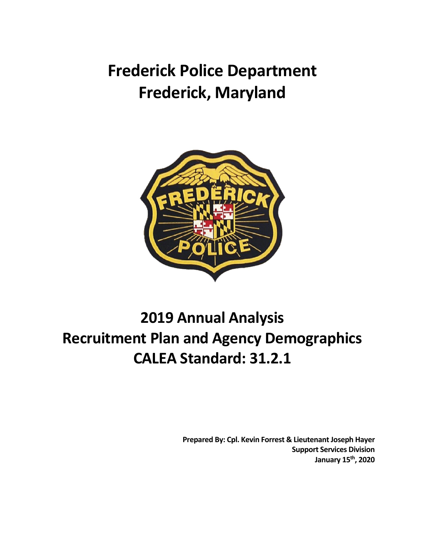**Frederick Police Department Frederick, Maryland**



# **2019 Annual Analysis Recruitment Plan and Agency Demographics CALEA Standard: 31.2.1**

**Prepared By: Cpl. Kevin Forrest & Lieutenant Joseph Hayer Support Services Division January 15th, 2020**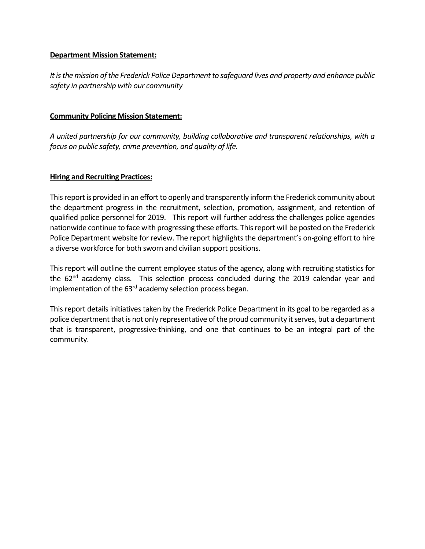### **Department Mission Statement:**

*It is the mission of the Frederick Police Department to safeguard lives and property and enhance public safety in partnership with our community*

### **Community Policing Mission Statement:**

*A united partnership for our community, building collaborative and transparent relationships, with a focus on public safety, crime prevention, and quality of life.* 

#### **Hiring and Recruiting Practices:**

This report is provided in an effort to openly and transparently inform the Frederick community about the department progress in the recruitment, selection, promotion, assignment, and retention of qualified police personnel for 2019. This report will further address the challenges police agencies nationwide continue to face with progressing these efforts. This report will be posted on the Frederick Police Department website for review. The report highlights the department's on-going effort to hire a diverse workforce for both sworn and civilian support positions.

This report will outline the current employee status of the agency, along with recruiting statistics for the 62<sup>nd</sup> academy class. This selection process concluded during the 2019 calendar year and implementation of the 63<sup>rd</sup> academy selection process began.

This report details initiatives taken by the Frederick Police Department in its goal to be regarded as a police department that is not only representative of the proud community it serves, but a department that is transparent, progressive-thinking, and one that continues to be an integral part of the community.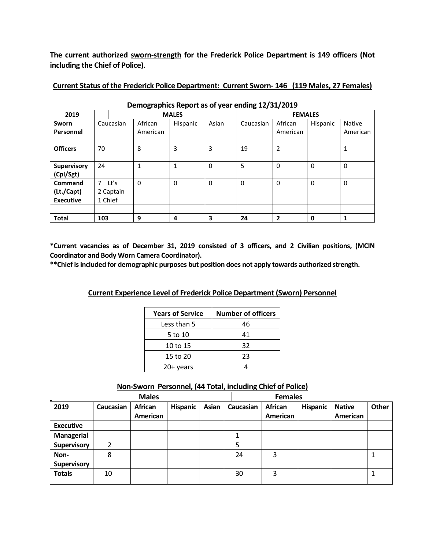**The current authorized sworn-strength for the Frederick Police Department is 149 officers (Not including the Chief of Police)**.

| Demographics Report as of year ending 12/31/2019 |              |                   |                     |          |                |           |                     |             |                           |
|--------------------------------------------------|--------------|-------------------|---------------------|----------|----------------|-----------|---------------------|-------------|---------------------------|
| 2019                                             | <b>MALES</b> |                   |                     |          | <b>FEMALES</b> |           |                     |             |                           |
| Sworn<br>Personnel                               | Caucasian    |                   | African<br>American | Hispanic | Asian          | Caucasian | African<br>American | Hispanic    | <b>Native</b><br>American |
| <b>Officers</b>                                  | 70           |                   | 8                   | 3        | 3              | 19        | $\overline{2}$      |             | 1                         |
| <b>Supervisory</b><br>(Cpl/Sgt)                  | 24           |                   | $\mathbf{1}$        | 1        | $\Omega$       | 5         | $\Omega$            | $\Omega$    | $\mathbf 0$               |
| <b>Command</b><br>(Lt./Capt)                     | 7            | Lt's<br>2 Captain | 0                   | 0        | $\Omega$       | 0         | 0                   | 0           | 0                         |
| <b>Executive</b>                                 | 1 Chief      |                   |                     |          |                |           |                     |             |                           |
|                                                  |              |                   |                     |          |                |           |                     |             |                           |
| <b>Total</b>                                     | 103          |                   | 9                   | 4        | 3              | 24        | $\mathbf{2}$        | $\mathbf 0$ | $\mathbf{1}$              |

#### **Current Status of the Frederick Police Department: Current Sworn- 146 (119 Males, 27 Females)**

**\*Current vacancies as of December 31, 2019 consisted of 3 officers, and 2 Civilian positions, (MCIN Coordinator and Body Worn Camera Coordinator).**

**\*\*Chief is included for demographic purposes but position does not apply towards authorized strength.**

| <b>Years of Service</b> | <b>Number of officers</b> |
|-------------------------|---------------------------|
| Less than 5             | 46                        |
| 5 to 10                 | 41                        |
| 10 to 15                | 32                        |
| 15 to 20                | 23                        |
| $20+$ years             |                           |

## **Non-Sworn Personnel, (44 Total, including Chief of Police)**

| <b>Males</b>       |           |                     |                 |       | <b>Females</b> |                     |                 |                           |       |
|--------------------|-----------|---------------------|-----------------|-------|----------------|---------------------|-----------------|---------------------------|-------|
| 2019               | Caucasian | African<br>American | <b>Hispanic</b> | Asian | Caucasian      | African<br>American | <b>Hispanic</b> | <b>Native</b><br>American | Other |
| <b>Executive</b>   |           |                     |                 |       |                |                     |                 |                           |       |
| <b>Managerial</b>  |           |                     |                 |       |                |                     |                 |                           |       |
| <b>Supervisory</b> | າ         |                     |                 |       |                |                     |                 |                           |       |
| Non-               | 8         |                     |                 |       | 24             | 3                   |                 |                           | 1     |
| <b>Supervisory</b> |           |                     |                 |       |                |                     |                 |                           |       |
| <b>Totals</b>      | 10        |                     |                 |       | 30             | 3                   |                 |                           |       |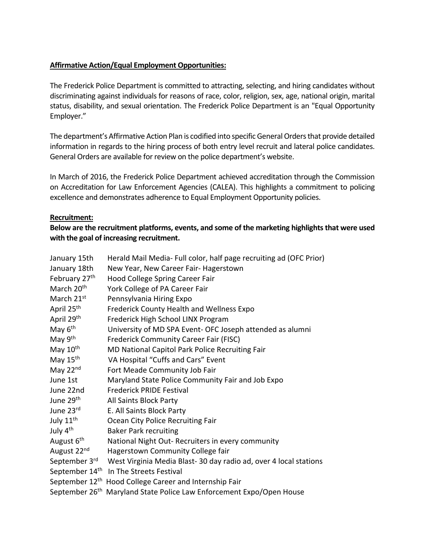## **Affirmative Action/Equal Employment Opportunities:**

The Frederick Police Department is committed to attracting, selecting, and hiring candidates without discriminating against individuals for reasons of race, color, religion, sex, age, national origin, marital status, disability, and sexual orientation. The Frederick Police Department is an "Equal Opportunity Employer."

The department's Affirmative Action Plan is codified into specific General Orders that provide detailed information in regards to the hiring process of both entry level recruit and lateral police candidates. General Orders are available for review on the police department's website.

In March of 2016, the Frederick Police Department achieved accreditation through the Commission on Accreditation for Law Enforcement Agencies (CALEA). This highlights a commitment to policing excellence and demonstrates adherence to Equal Employment Opportunity policies.

## **Recruitment:**

Below are the recruitment platforms, events, and some of the marketing highlights that were used **with the goal of increasing recruitment.**

| January 15th               | Herald Mail Media- Full color, half page recruiting ad (OFC Prior) |
|----------------------------|--------------------------------------------------------------------|
| January 18th               | New Year, New Career Fair- Hagerstown                              |
| February 27th              | Hood College Spring Career Fair                                    |
| March 20 <sup>th</sup>     | York College of PA Career Fair                                     |
| March 21 <sup>st</sup>     | Pennsylvania Hiring Expo                                           |
| April 25 <sup>th</sup>     | Frederick County Health and Wellness Expo                          |
| April 29th                 | Frederick High School LINX Program                                 |
| May 6 <sup>th</sup>        | University of MD SPA Event- OFC Joseph attended as alumni          |
| May 9th                    | Frederick Community Career Fair (FISC)                             |
| May 10th                   | MD National Capitol Park Police Recruiting Fair                    |
| May 15th                   | VA Hospital "Cuffs and Cars" Event                                 |
| May $22nd$                 | Fort Meade Community Job Fair                                      |
| June 1st                   | Maryland State Police Community Fair and Job Expo                  |
| June 22nd                  | <b>Frederick PRIDE Festival</b>                                    |
| June 29 <sup>th</sup>      | All Saints Block Party                                             |
| June 23rd                  | E. All Saints Block Party                                          |
| July $11^{\text{th}}$      | Ocean City Police Recruiting Fair                                  |
| July 4 <sup>th</sup>       | <b>Baker Park recruiting</b>                                       |
| August 6 <sup>th</sup>     | National Night Out-Recruiters in every community                   |
| August 22 <sup>nd</sup>    | Hagerstown Community College fair                                  |
| September 3rd              | West Virginia Media Blast-30 day radio ad, over 4 local stations   |
| September 14th             | In The Streets Festival                                            |
| September 12th             | Hood College Career and Internship Fair                            |
| September 26 <sup>th</sup> | Maryland State Police Law Enforcement Expo/Open House              |
|                            |                                                                    |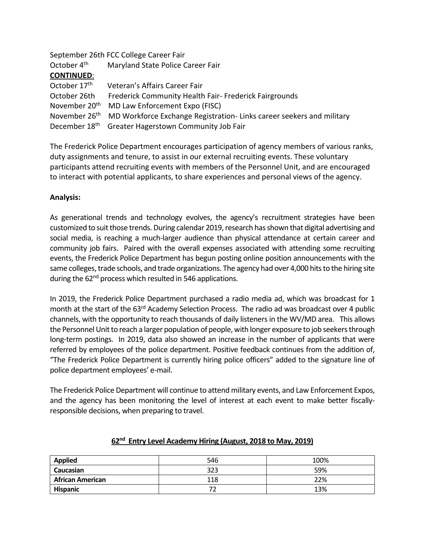|                           | September 26th FCC College Career Fair                               |
|---------------------------|----------------------------------------------------------------------|
| October 4 <sup>th</sup>   | Maryland State Police Career Fair                                    |
| <b>CONTINUED:</b>         |                                                                      |
| October 17 <sup>th</sup>  | Veteran's Affairs Career Fair                                        |
| October 26th              | Frederick Community Health Fair- Frederick Fairgrounds               |
| November 20 <sup>th</sup> | MD Law Enforcement Expo (FISC)                                       |
| November 26 <sup>th</sup> | MD Workforce Exchange Registration-Links career seekers and military |
| December 18 <sup>th</sup> | Greater Hagerstown Community Job Fair                                |

The Frederick Police Department encourages participation of agency members of various ranks, duty assignments and tenure, to assist in our external recruiting events. These voluntary participants attend recruiting events with members of the Personnel Unit, and are encouraged to interact with potential applicants, to share experiences and personal views of the agency.

#### **Analysis:**

As generational trends and technology evolves, the agency's recruitment strategies have been customized to suit those trends. During calendar 2019, research has shown that digital advertising and social media, is reaching a much-larger audience than physical attendance at certain career and community job fairs. Paired with the overall expenses associated with attending some recruiting events, the Frederick Police Department has begun posting online position announcements with the same colleges, trade schools, and trade organizations. The agency had over 4,000 hits to the hiring site during the 62<sup>nd</sup> process which resulted in 546 applications.

In 2019, the Frederick Police Department purchased a radio media ad, which was broadcast for 1 month at the start of the 63<sup>rd</sup> Academy Selection Process. The radio ad was broadcast over 4 public channels, with the opportunity to reach thousands of daily listeners in the WV/MD area. This allows the Personnel Unit to reach a larger population of people, with longer exposure to job seekers through long-term postings. In 2019, data also showed an increase in the number of applicants that were referred by employees of the police department. Positive feedback continues from the addition of, "The Frederick Police Department is currently hiring police officers" added to the signature line of police department employees' e-mail.

The Frederick Police Department will continue to attend military events, and Law Enforcement Expos, and the agency has been monitoring the level of interest at each event to make better fiscallyresponsible decisions, when preparing to travel.

| <b>Applied</b>          | 546 | 100% |
|-------------------------|-----|------|
| Caucasian               | 323 | 59%  |
| <b>African American</b> | 118 | 22%  |
| <b>Hispanic</b>         |     | 13%  |

## **62 nd Entry Level Academy Hiring (August, 2018 to May, 2019)**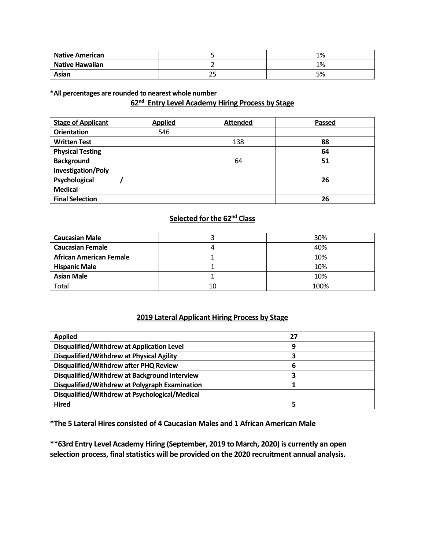| <b>Native American</b> |          | 1% |
|------------------------|----------|----|
| <b>Native Hawaiian</b> |          | 1% |
| Asian                  | ∼-<br>__ | 5% |

**\*All percentages are rounded to nearest whole number**

## **62nd Entry Level Academy Hiring Process by Stage**

| <b>Stage of Applicant</b> | <b>Applied</b> | <b>Attended</b> | Passed |
|---------------------------|----------------|-----------------|--------|
| <b>Orientation</b>        | 546            |                 |        |
| <b>Written Test</b>       |                | 138             | 88     |
| <b>Physical Testing</b>   |                |                 | 64     |
| <b>Background</b>         |                | 64              | 51     |
| <b>Investigation/Poly</b> |                |                 |        |
| Psychological             |                |                 | 26     |
| <b>Medical</b>            |                |                 |        |
| <b>Final Selection</b>    |                |                 | 26     |

## **Selected for the 62 nd Class**

| <b>Caucasian Male</b>          |    | 30%  |
|--------------------------------|----|------|
| <b>Caucasian Female</b>        |    | 40%  |
| <b>African American Female</b> |    | 10%  |
| <b>Hispanic Male</b>           |    | 10%  |
| <b>Asian Male</b>              |    | 10%  |
| <b>Total</b>                   | 10 | 100% |

## **2019 Lateral Applicant Hiring Process by Stage**

| <b>Applied</b>                                 | 27 |
|------------------------------------------------|----|
| Disqualified/Withdrew at Application Level     | 9  |
| Disqualified/Withdrew at Physical Agility      |    |
| Disqualified/Withdrew after PHQ Review         | b  |
| Disqualified/Withdrew at Background Interview  |    |
| Disqualified/Withdrew at Polygraph Examination |    |
| Disqualified/Withdrew at Psychological/Medical |    |
| <b>Hired</b>                                   |    |

**\*The 5 Lateral Hires consisted of 4 Caucasian Males and 1 African American Male**

**\*\*63rd Entry Level Academy Hiring (September, 2019 to March, 2020) is currently an open selection process, final statistics will be provided on the 2020 recruitment annual analysis.**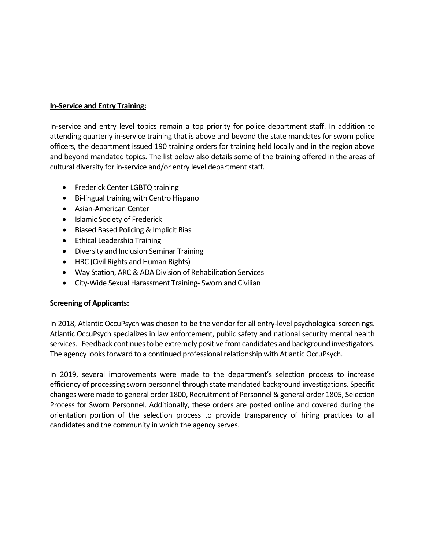## **In-Service and Entry Training:**

In-service and entry level topics remain a top priority for police department staff. In addition to attending quarterly in-service training that is above and beyond the state mandates for sworn police officers, the department issued 190 training orders for training held locally and in the region above and beyond mandated topics. The list below also details some of the training offered in the areas of cultural diversity for in-service and/or entry level department staff.

- Frederick Center LGBTQ training
- Bi-lingual training with Centro Hispano
- Asian-American Center
- Islamic Society of Frederick
- Biased Based Policing & Implicit Bias
- Ethical Leadership Training
- Diversity and Inclusion Seminar Training
- HRC (Civil Rights and Human Rights)
- Way Station, ARC & ADA Division of Rehabilitation Services
- City-Wide Sexual Harassment Training- Sworn and Civilian

### **Screening of Applicants:**

In 2018, Atlantic OccuPsych was chosen to be the vendor for all entry-level psychological screenings. Atlantic OccuPsych specializes in law enforcement, public safety and national security mental health services. Feedback continues to be extremely positive from candidates and background investigators. The agency looks forward to a continued professional relationship with Atlantic OccuPsych.

In 2019, several improvements were made to the department's selection process to increase efficiency of processing sworn personnel through state mandated background investigations. Specific changes were made to general order 1800, Recruitment of Personnel & general order 1805, Selection Process for Sworn Personnel. Additionally, these orders are posted online and covered during the orientation portion of the selection process to provide transparency of hiring practices to all candidates and the community in which the agency serves.